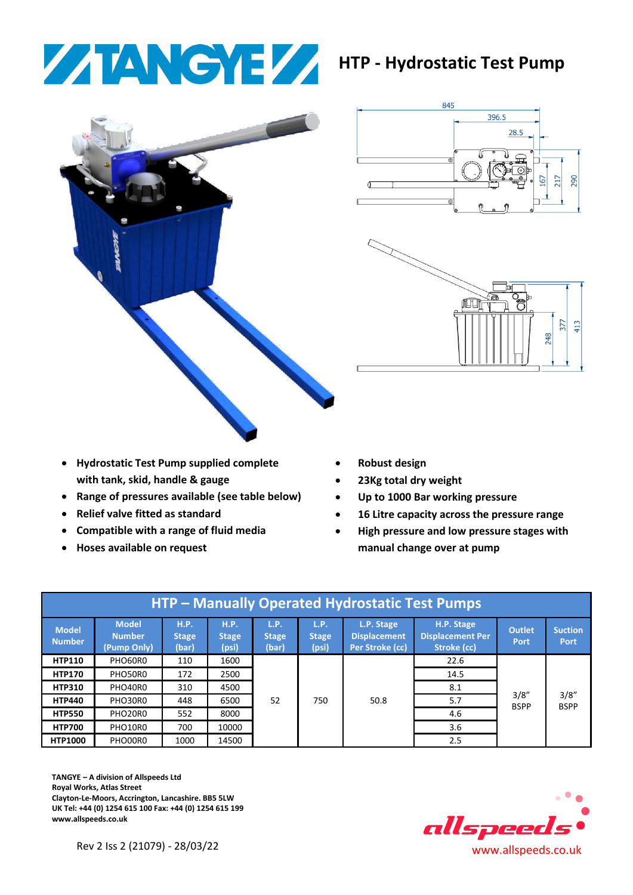## **HTP - Hydrostatic Test Pump**



845 396.5 28.5  $90$ G



- **Hydrostatic Test Pump supplied complete with tank, skid, handle & gauge**
- **Range of pressures available (see table below)**
- **Relief valve fitted as standard**
- **Compatible with a range of fluid media**
- **Hoses available on request**
- **Robust design**
- **23Kg total dry weight**
- **Up to 1000 Bar working pressure**
- **16 Litre capacity across the pressure range**
- **High pressure and low pressure stages with manual change over at pump**

| HTP – Manually Operated Hydrostatic Test Pumps |                                              |                               |                                      |                               |                               |                                                      |                                                      |                              |                               |  |
|------------------------------------------------|----------------------------------------------|-------------------------------|--------------------------------------|-------------------------------|-------------------------------|------------------------------------------------------|------------------------------------------------------|------------------------------|-------------------------------|--|
| <b>Model</b><br><b>Number</b>                  | <b>Model</b><br><b>Number</b><br>(Pump Only) | <b>H.P.</b><br>Stage<br>(bar) | <b>H.P.</b><br><b>Stage</b><br>(psi) | L.P.<br><b>Stage</b><br>(bar) | L.P.<br><b>Stage</b><br>(psi) | L.P. Stage<br><b>Displacement</b><br>Per Stroke (cc) | H.P. Stage<br><b>Displacement Per</b><br>Stroke (cc) | <b>Outlet</b><br><b>Port</b> | <b>Suction</b><br><b>Port</b> |  |
| <b>HTP110</b>                                  | PHO60R0                                      | 110                           | 1600                                 | 52                            | 750                           | 50.8                                                 | 22.6                                                 | 3/8"<br><b>BSPP</b>          | 3/8"<br><b>BSPP</b>           |  |
| <b>HTP170</b>                                  | PHO50R0                                      | 172                           | 2500                                 |                               |                               |                                                      | 14.5                                                 |                              |                               |  |
| <b>HTP310</b>                                  | PHO40R0                                      | 310                           | 4500                                 |                               |                               |                                                      | 8.1                                                  |                              |                               |  |
| <b>HTP440</b>                                  | PHO30R0                                      | 448                           | 6500                                 |                               |                               |                                                      | 5.7                                                  |                              |                               |  |
| <b>HTP550</b>                                  | PHO20R0                                      | 552                           | 8000                                 |                               |                               |                                                      | 4.6                                                  |                              |                               |  |
| <b>HTP700</b>                                  | PHO10R0                                      | 700                           | 10000                                |                               |                               |                                                      | 3.6                                                  |                              |                               |  |
| <b>HTP1000</b>                                 | PHO00R0                                      | 1000                          | 14500                                |                               |                               |                                                      | 2.5                                                  |                              |                               |  |

**TANGYE – A division of Allspeeds Ltd Royal Works, Atlas Street Clayton-Le-Moors, Accrington, Lancashire. BB5 5LW UK Tel: +44 (0) 1254 615 100 Fax: +44 (0) 1254 615 199 www.allspeeds.co.uk**



Rev 2 Iss 2 (21079) - 28/03/22